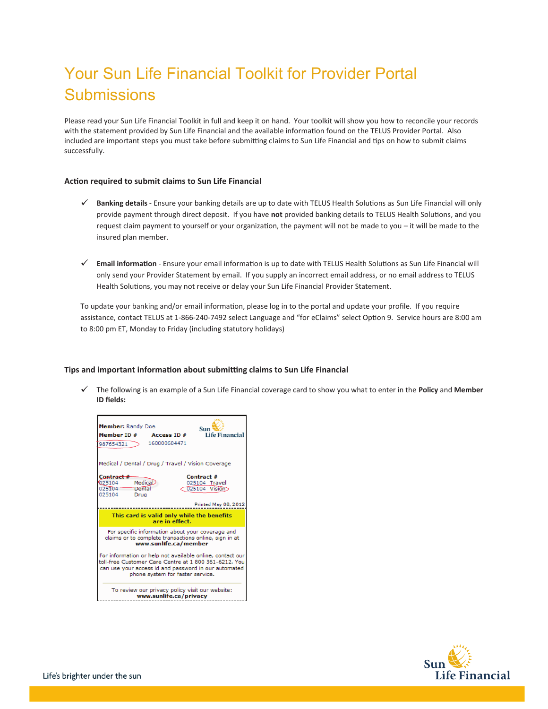# Your Sun Life Financial Toolkit for Provider Portal **Submissions**

Please read your Sun Life Financial Toolkit in full and keep it on hand. Your toolkit will show you how to reconcile your records with the statement provided by Sun Life Financial and the available information found on the TELUS Provider Portal. Also included are important steps you must take before submitting claims to Sun Life Financial and tips on how to submit claims successfully.

## **Action required to submit claims to Sun Life Financial**

- **Banking details** Ensure your banking details are up to date with TELUS Health Solutions as Sun Life Financial will only provide payment through direct deposit. If you have **not** provided banking details to TELUS Health Solutions, and you request claim payment to yourself or your organization, the payment will not be made to you – it will be made to the insured plan member.
- **Email information** Ensure your email information is up to date with TELUS Health Solutions as Sun Life Financial will only send your Provider Statement by email. If you supply an incorrect email address, or no email address to TELUS Health Solutions, you may not receive or delay your Sun Life Financial Provider Statement.

To update your banking and/or email information, please log in to the portal and update your profile. If you require assistance, contact TELUS at 1-866-240-7492 select Language and "for eClaims" select Option 9. Service hours are 8:00 am to 8:00 pm ET, Monday to Friday (including statutory holidays)

# **Tips and important information about submitting claims to Sun Life Financial**

The following is an example of a Sun Life Financial coverage card to show you what to enter in the **Policy** and **Member ID fields:** 



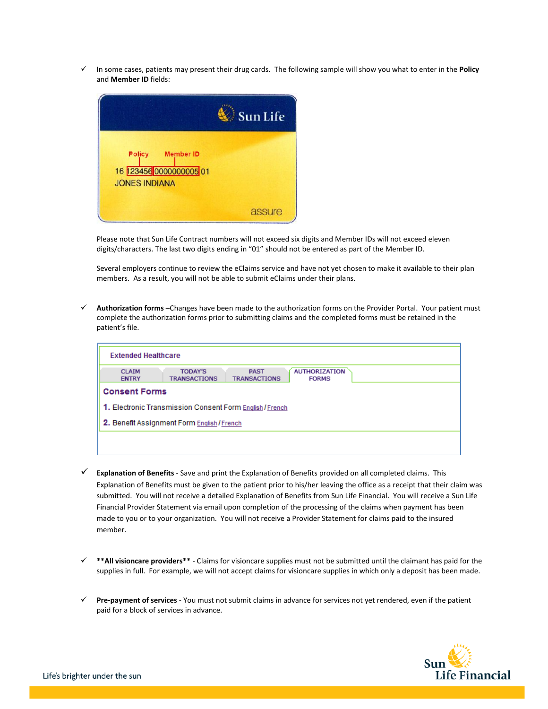9 In some cases, patients may present their drug cards. The following sample will show you what to enter in the **Policy** and **Member ID** fields:



Please note that Sun Life Contract numbers will not exceed six digits and Member IDs will not exceed eleven digits/characters. The last two digits ending in "01" should not be entered as part of the Member ID.

Several employers continue to review the eClaims service and have not yet chosen to make it available to their plan members. As a result, you will not be able to submit eClaims under their plans.

9 **Authorization forms** –Changes have been made to the authorization forms on the Provider Portal. Your patient must complete the authorization forms prior to submitting claims and the completed forms must be retained in the patient's file.

| <b>Extended Healthcare</b>                                                                                                                   |  |  |  |  |  |  |  |
|----------------------------------------------------------------------------------------------------------------------------------------------|--|--|--|--|--|--|--|
| <b>TODAY'S</b><br><b>AUTHORIZATION</b><br><b>PAST</b><br><b>CLAIM</b><br><b>TRANSACTIONS</b><br><b>ENTRY</b><br>TRANSACTIONS<br><b>FORMS</b> |  |  |  |  |  |  |  |
| <b>Consent Forms</b>                                                                                                                         |  |  |  |  |  |  |  |
| 1. Electronic Transmission Consent Form English / French                                                                                     |  |  |  |  |  |  |  |
| 2. Benefit Assignment Form English / French                                                                                                  |  |  |  |  |  |  |  |
|                                                                                                                                              |  |  |  |  |  |  |  |
|                                                                                                                                              |  |  |  |  |  |  |  |

- 9 **Explanation of Benefits** Save and print the Explanation of Benefits provided on all completed claims. This Explanation of Benefits must be given to the patient prior to his/her leaving the office as a receipt that their claim was submitted. You will not receive a detailed Explanation of Benefits from Sun Life Financial. You will receive a Sun Life Financial Provider Statement via email upon completion of the processing of the claims when payment has been made to you or to your organization. You will not receive a Provider Statement for claims paid to the insured member.
- 9 **\*\*All visioncare providers\*\*** Claims for visioncare supplies must not be submitted until the claimant has paid for the supplies in full. For example, we will not accept claims for visioncare supplies in which only a deposit has been made.
- 9 **Pre-payment of services** You must not submit claims in advance for services not yet rendered, even if the patient paid for a block of services in advance.

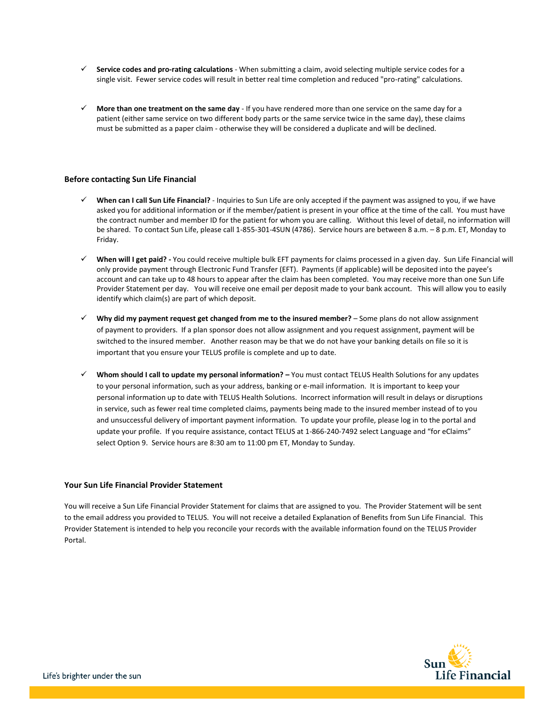- 9 **Service codes and pro-rating calculations** When submitting a claim, avoid selecting multiple service codes for a single visit. Fewer service codes will result in better real time completion and reduced "pro-rating" calculations.
- $\checkmark$  More than one treatment on the same day If you have rendered more than one service on the same day for a patient (either same service on two different body parts or the same service twice in the same day), these claims must be submitted as a paper claim - otherwise they will be considered a duplicate and will be declined.

# **Before contacting Sun Life Financial**

- 9 **When can I call Sun Life Financial?** Inquiries to Sun Life are only accepted if the payment was assigned to you, if we have asked you for additional information or if the member/patient is present in your office at the time of the call. You must have the contract number and member ID for the patient for whom you are calling. Without this level of detail, no information will be shared. To contact Sun Life, please call 1-855-301-4SUN (4786). Service hours are between 8 a.m. – 8 p.m. ET, Monday to Friday.
- 9 **When will I get paid? -** You could receive multiple bulk EFT payments for claims processed in a given day. Sun Life Financial will only provide payment through Electronic Fund Transfer (EFT). Payments (if applicable) will be deposited into the payee's account and can take up to 48 hours to appear after the claim has been completed. You may receive more than one Sun Life Provider Statement per day. You will receive one email per deposit made to your bank account. This will allow you to easily identify which claim(s) are part of which deposit.
- 9 **Why did my payment request get changed from me to the insured member?** Some plans do not allow assignment of payment to providers. If a plan sponsor does not allow assignment and you request assignment, payment will be switched to the insured member. Another reason may be that we do not have your banking details on file so it is important that you ensure your TELUS profile is complete and up to date.
- 9 **Whom should I call to update my personal information? –** You must contact TELUS Health Solutions for any updates to your personal information, such as your address, banking or e-mail information. It is important to keep your personal information up to date with TELUS Health Solutions. Incorrect information will result in delays or disruptions in service, such as fewer real time completed claims, payments being made to the insured member instead of to you and unsuccessful delivery of important payment information. To update your profile, please log in to the portal and update your profile. If you require assistance, contact TELUS at 1-866-240-7492 select Language and "for eClaims" select Option 9. Service hours are 8:30 am to 11:00 pm ET, Monday to Sunday.

## **Your Sun Life Financial Provider Statement**

You will receive a Sun Life Financial Provider Statement for claims that are assigned to you. The Provider Statement will be sent to the email address you provided to TELUS. You will not receive a detailed Explanation of Benefits from Sun Life Financial. This Provider Statement is intended to help you reconcile your records with the available information found on the TELUS Provider **Portal** 

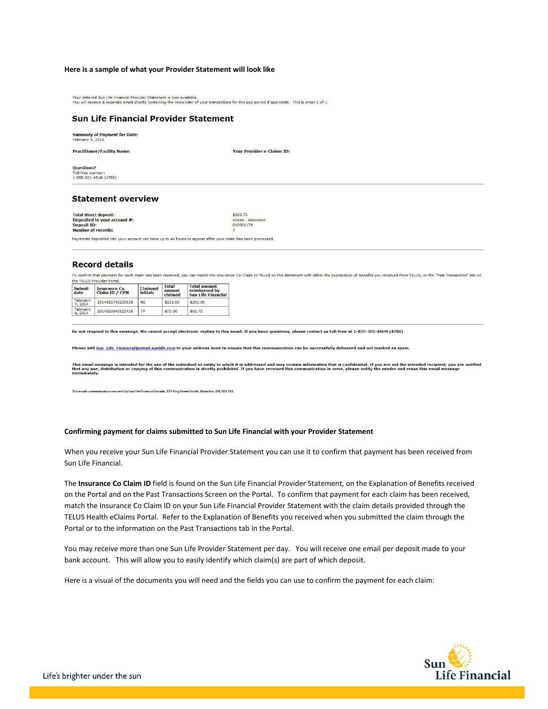#### **Here is a sample of what your Provider Statement will look like**

Your detailed Sun Life Financial Provider Statement is now available.<br>You will receive a separate email shortly containing the remainder of your transactions for this pay period if applicable. This is email 1 of 1.

#### **Sun Life Financial Provider Statement**

**Summary of Payment for Date:**<br>February 9, 2014

**Practitioner/Facility Name:** 

**Your Provider e-Claims ID:** 

Questions? Toll-free number:<br>1-855-301-4SUN (4786)

### **Statement overview**

Total direct deposit:<br>Deposited to your account #: \$263.75 **xxxxxxxx** xxxxx - xxx<br>040001174 Deposit ID:<br>Number of records:

Payments deposited into your account can take up to 48 hours to appear after your claim has been processed.

#### **Record details**

To confirm that payment for each claim has been received, you can match the Insurance Co Claim ID found on this statement with either the Explanation of Benefits you received from TELUS, or the "Past Transaction" tab on the TELUS Provider Portal.

| Submit<br>date      | <b>Insurance Co.</b><br>Claim ID / CPN | Claimant<br><i>initials</i> | <b>Total</b><br>amount<br>claimed | <b>Total amount</b><br>reimbursed by<br><b>Sun Life Financial</b> |  |  |
|---------------------|----------------------------------------|-----------------------------|-----------------------------------|-------------------------------------------------------------------|--|--|
| February<br>7, 2014 | 2014020743203818                       | <b>NF</b>                   | \$231.00                          | \$200.00                                                          |  |  |
| February<br>6, 2014 | 2014020643123416                       | ТP                          | \$75.00                           | \$63.75                                                           |  |  |

Do not respond to this message. We cannot accept electronic replies to this email. If you have questions, please contact us toll-free at 1-855-301-45UN (4786)

Please add Sun Life Financial@email.sunlife.com to your address book to ensure that this communication can be successfully delivered and not marked as spam

This email message is intended for the use of the individual or entity to which it is addressed and may contain information that is confidential. If you are not the intended recipient, you are notified<br>that any use, distri

This email communication was sent by Sun Life Financial Canada, 227 King Street South, Waterloo, ON, N2J 1R2.

#### **Confirming payment for claims submitted to Sun Life Financial with your Provider Statement**

When you receive your Sun Life Financial Provider Statement you can use it to confirm that payment has been received from Sun Life Financial.

The **Insurance Co Claim ID** field is found on the Sun Life Financial Provider Statement, on the Explanation of Benefits received on the Portal and on the Past Transactions Screen on the Portal. To confirm that payment for each claim has been received, match the Insurance Co Claim ID on your Sun Life Financial Provider Statement with the claim details provided through the TELUS Health eClaims Portal. Refer to the Explanation of Benefits you received when you submitted the claim through the Portal or to the information on the Past Transactions tab in the Portal.

You may receive more than one Sun Life Provider Statement per day. You will receive one email per deposit made to your bank account. This will allow you to easily identify which claim(s) are part of which deposit.

Here is a visual of the documents you will need and the fields you can use to confirm the payment for each claim:

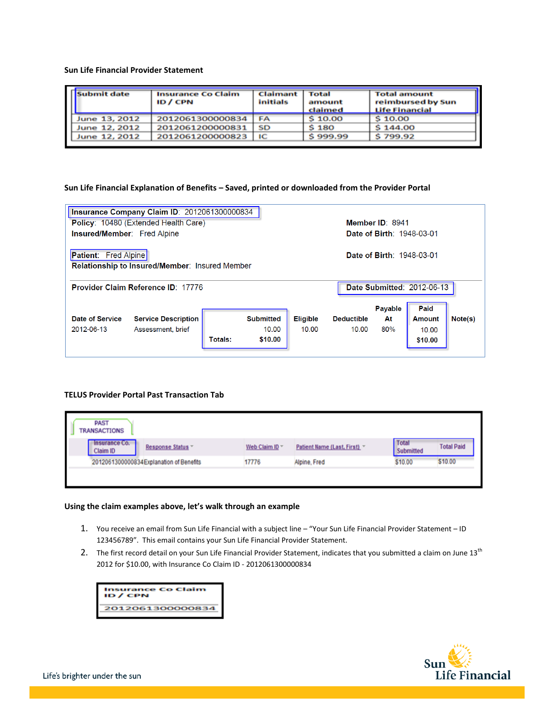## **Sun Life Financial Provider Statement**

| Submit date   | <b>Insurance Co Claim</b><br>ID / CPN | <b>Claimant</b><br>initials | <b>Total</b><br>amount<br>claimed | <b>Total amount</b><br>reimbursed by Sun<br>Life Financial |
|---------------|---------------------------------------|-----------------------------|-----------------------------------|------------------------------------------------------------|
| June 13, 2012 | 2012061300000834                      | FA                          | \$10.00                           | \$10.00                                                    |
| June 12, 2012 | 2012061200000831                      | SD                          | S 180                             | \$144.00                                                   |
| June 12, 2012 | 2012061200000823                      | ıс                          | \$999.99                          | \$799.92                                                   |

# **Sun Life Financial Explanation of Benefits – Saved, printed or downloaded from the Provider Portal**

| Insurance Company Claim ID: 2012061300000834                                                                      |                                           |                |                  |                 |                                   |                                  |               |         |  |  |  |
|-------------------------------------------------------------------------------------------------------------------|-------------------------------------------|----------------|------------------|-----------------|-----------------------------------|----------------------------------|---------------|---------|--|--|--|
| <b>Policy: 10480 (Extended Health Care)</b>                                                                       |                                           |                |                  |                 |                                   | Member ID: 8941                  |               |         |  |  |  |
| Insured/Member: Fred Alpine                                                                                       |                                           |                |                  |                 |                                   | <b>Date of Birth: 1948-03-01</b> |               |         |  |  |  |
| <b>Patient:</b> Fred Alpine<br>Date of Birth: 1948-03-01<br><b>Relationship to Insured/Member: Insured Member</b> |                                           |                |                  |                 |                                   |                                  |               |         |  |  |  |
|                                                                                                                   | <b>Provider Claim Reference ID: 17776</b> |                |                  |                 | <b>Date Submitted: 2012-06-13</b> |                                  |               |         |  |  |  |
|                                                                                                                   |                                           |                |                  |                 |                                   |                                  |               |         |  |  |  |
|                                                                                                                   |                                           |                |                  |                 |                                   | Payable                          | Paid          |         |  |  |  |
| Date of Service                                                                                                   | <b>Service Description</b>                |                | <b>Submitted</b> | <b>Eligible</b> | <b>Deductible</b>                 | At                               | <b>Amount</b> | Note(s) |  |  |  |
| 2012-06-13                                                                                                        | Assessment, brief                         |                | 10.00            | 10.00           | 10.00                             | 80%                              | 10.00         |         |  |  |  |
|                                                                                                                   |                                           | <b>Totals:</b> | \$10.00          |                 |                                   |                                  | \$10.00       |         |  |  |  |

# **TELUS Provider Portal Past Transaction Tab**

| <b>PAST</b><br>TRANSACTIONS              |                   |                |                               |                    |                   |
|------------------------------------------|-------------------|----------------|-------------------------------|--------------------|-------------------|
| Insurance Co.<br>Claim ID                | Response Status " | Web Claim ID * | Patient Name (Last, First). v | Total<br>Submitted | <b>Total Paid</b> |
| 2012061300000834 Explanation of Benefits |                   | 17776          | Alpine, Fred                  | \$10.00            | \$10.00           |
|                                          |                   |                |                               |                    |                   |

# **Using the claim examples above, let's walk through an example**

- 1. You receive an email from Sun Life Financial with a subject line "Your Sun Life Financial Provider Statement ID 123456789". This email contains your Sun Life Financial Provider Statement.
- 2. The first record detail on your Sun Life Financial Provider Statement, indicates that you submitted a claim on June  $13<sup>th</sup>$ 2012 for \$10.00, with Insurance Co Claim ID - 2012061300000834



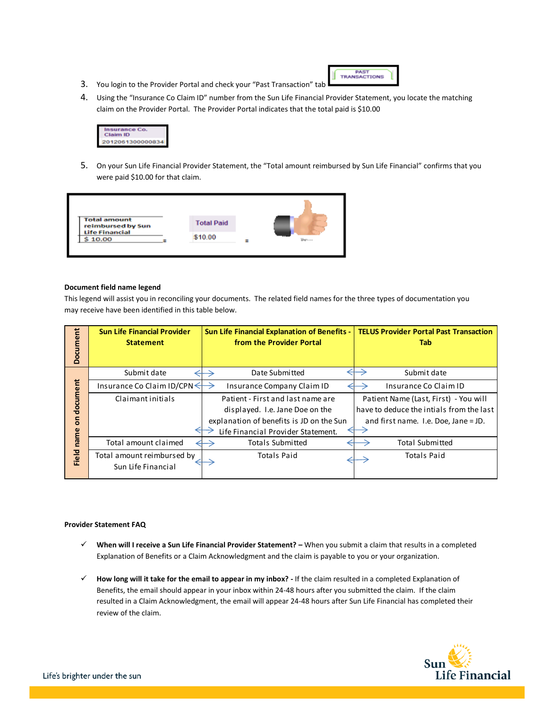- PAST<br>TRANSACTIONS
- 3. You login to the Provider Portal and check your "Past Transaction" tab
- 4. Using the "Insurance Co Claim ID" number from the Sun Life Financial Provider Statement, you locate the matching claim on the Provider Portal. The Provider Portal indicates that the total paid is \$10.00



5. On your Sun Life Financial Provider Statement, the "Total amount reimbursed by Sun Life Financial" confirms that you were paid \$10.00 for that claim.



## **Document field name legend**

This legend will assist you in reconciling your documents. The related field names for the three types of documentation you may receive have been identified in this table below.

| Document | <b>Sun Life Financial Provider</b><br><b>Statement</b> | <b>Sun Life Financial Explanation of Benefits -</b><br>from the Provider Portal | <b>TELUS Provider Portal Past Transaction</b><br>Tab |  |  |  |
|----------|--------------------------------------------------------|---------------------------------------------------------------------------------|------------------------------------------------------|--|--|--|
|          | Submit date                                            | Date Submitted                                                                  | Submit date                                          |  |  |  |
| document | Insurance Co Claim ID/CPN $\leq$                       | Insurance Company Claim ID                                                      | Insurance Co Claim ID                                |  |  |  |
|          | Claimant initials                                      | Patient - First and last name are                                               | Patient Name (Last, First) - You will                |  |  |  |
|          |                                                        | displayed. I.e. Jane Doe on the                                                 | have to deduce the intials from the last             |  |  |  |
| 5        |                                                        | explanation of benefits is JD on the Sun                                        | and first name. I.e. Doe, Jane = JD.                 |  |  |  |
|          |                                                        | Life Financial Provider Statement.                                              |                                                      |  |  |  |
| name     | Total amount claimed                                   | <b>Totals Submitted</b>                                                         | <b>Total Submitted</b>                               |  |  |  |
| Field    | Total amount reimbursed by                             | <b>Totals Paid</b>                                                              | <b>Totals Paid</b>                                   |  |  |  |
|          | Sun Life Financial                                     |                                                                                 |                                                      |  |  |  |

## **Provider Statement FAQ**

- 9 **When will I receive a Sun Life Financial Provider Statement? –** When you submit a claim that results in a completed Explanation of Benefits or a Claim Acknowledgment and the claim is payable to you or your organization.
- 9 **How long will it take for the email to appear in my inbox? -** If the claim resulted in a completed Explanation of Benefits, the email should appear in your inbox within 24-48 hours after you submitted the claim. If the claim resulted in a Claim Acknowledgment, the email will appear 24-48 hours after Sun Life Financial has completed their review of the claim.